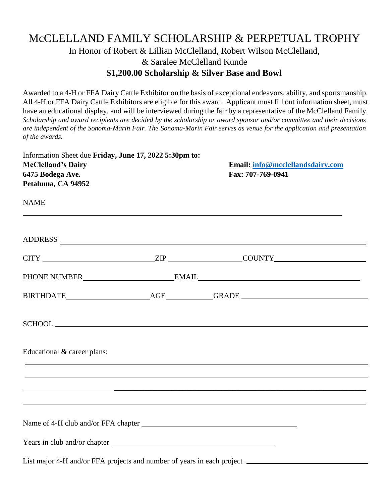## McCLELLAND FAMILY SCHOLARSHIP & PERPETUAL TROPHY In Honor of Robert & Lillian McClelland, Robert Wilson McClelland, & Saralee McClelland Kunde **\$1,200.00 Scholarship & Silver Base and Bowl**

Awarded to a 4-H or FFA Dairy Cattle Exhibitor on the basis of exceptional endeavors, ability, and sportsmanship. All 4-H or FFA Dairy Cattle Exhibitors are eligible for this award. Applicant must fill out information sheet, must have an educational display, and will be interviewed during the fair by a representative of the McClelland Family. Scholarship and award recipients are decided by the scholarship or award sponsor and/or committee and their decisions are independent of the Sonoma-Marin Fair. The Sonoma-Marin Fair serves as venue for the application and presentation *of the awards.*

| Information Sheet due Friday, June 17, 2022 5:30pm to:<br><b>McClelland's Dairy</b><br>6475 Bodega Ave.<br>Petaluma, CA 94952 | Email: info@mcclellandsdairy.com<br>Fax: 707-769-0941                                                                 |
|-------------------------------------------------------------------------------------------------------------------------------|-----------------------------------------------------------------------------------------------------------------------|
| <b>NAME</b>                                                                                                                   | <u> 1989 - Johann Harry Harry Harry Harry Harry Harry Harry Harry Harry Harry Harry Harry Harry Harry Harry Harry</u> |
|                                                                                                                               |                                                                                                                       |
|                                                                                                                               |                                                                                                                       |
|                                                                                                                               |                                                                                                                       |
|                                                                                                                               |                                                                                                                       |
|                                                                                                                               |                                                                                                                       |
| Educational & career plans:                                                                                                   |                                                                                                                       |
|                                                                                                                               |                                                                                                                       |
|                                                                                                                               | <u> 1989 - Andrea Santa Andrea Andrea Andrea Andrea Andrea Andrea Andrea Andrea Andrea Andrea Andrea Andrea Andr</u>  |
|                                                                                                                               |                                                                                                                       |
|                                                                                                                               |                                                                                                                       |
|                                                                                                                               |                                                                                                                       |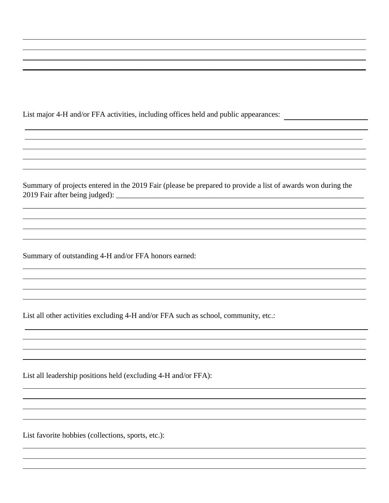List major 4-H and/or FFA activities, including offices held and public appearances:

Summary of projects entered in the 2019 Fair (please be prepared to provide a list of awards won during the 2019 Fair after being judged): \_\_\_\_\_\_\_\_\_\_\_\_\_\_\_\_\_\_\_\_\_\_\_\_\_\_\_\_\_\_\_\_\_\_\_\_\_\_\_\_\_\_\_\_\_\_\_\_\_\_\_\_\_\_\_\_\_\_\_\_\_\_\_\_\_

\_\_\_\_\_\_\_\_\_\_\_\_\_\_\_\_\_\_\_\_\_\_\_\_\_\_\_\_\_\_\_\_\_\_\_\_\_\_\_\_\_\_\_\_\_\_\_\_\_\_\_\_\_\_\_\_\_\_\_\_\_\_\_\_\_\_\_\_\_\_\_\_\_\_\_\_\_\_\_\_\_\_\_\_\_\_\_\_\_\_

 $\_$  , and the set of the set of the set of the set of the set of the set of the set of the set of the set of the set of the set of the set of the set of the set of the set of the set of the set of the set of the set of th

Summary of outstanding 4-H and/or FFA honors earned:

List all other activities excluding 4-H and/or FFA such as school, community, etc.:

List all leadership positions held (excluding 4-H and/or FFA):

List favorite hobbies (collections, sports, etc.):